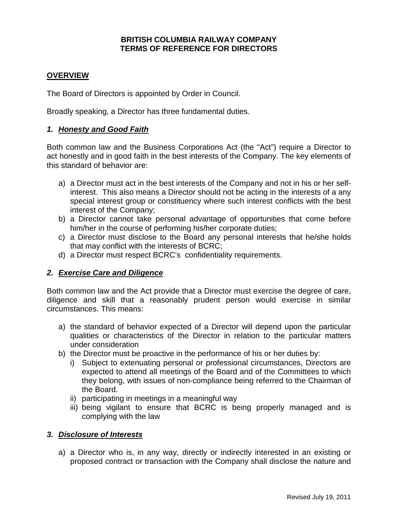#### **BRITISH COLUMBIA RAILWAY COMPANY TERMS OF REFERENCE FOR DIRECTORS**

### **OVERVIEW**

The Board of Directors is appointed by Order in Council.

Broadly speaking, a Director has three fundamental duties.

#### *1. Honesty and Good Faith*

Both common law and the Business Corporations Act (the "Act") require a Director to act honestly and in good faith in the best interests of the Company. The key elements of this standard of behavior are:

- a) a Director must act in the best interests of the Company and not in his or her selfinterest. This also means a Director should not be acting in the interests of a any special interest group or constituency where such interest conflicts with the best interest of the Company;
- b) a Director cannot take personal advantage of opportunities that come before him/her in the course of performing his/her corporate duties;
- c) a Director must disclose to the Board any personal interests that he/she holds that may conflict with the interests of BCRC;
- d) a Director must respect BCRC's confidentiality requirements.

#### *2. Exercise Care and Diligence*

Both common law and the Act provide that a Director must exercise the degree of care, diligence and skill that a reasonably prudent person would exercise in similar circumstances. This means:

- a) the standard of behavior expected of a Director will depend upon the particular qualities or characteristics of the Director in relation to the particular matters under consideration
- b) the Director must be proactive in the performance of his or her duties by:
	- i) Subject to extenuating personal or professional circumstances, Directors are expected to attend all meetings of the Board and of the Committees to which they belong, with issues of non-compliance being referred to the Chairman of the Board.
	- ii) participating in meetings in a meaningful way
	- iii) being vigilant to ensure that BCRC is being properly managed and is complying with the law

#### *3. Disclosure of Interests*

a) a Director who is, in any way, directly or indirectly interested in an existing or proposed contract or transaction with the Company shall disclose the nature and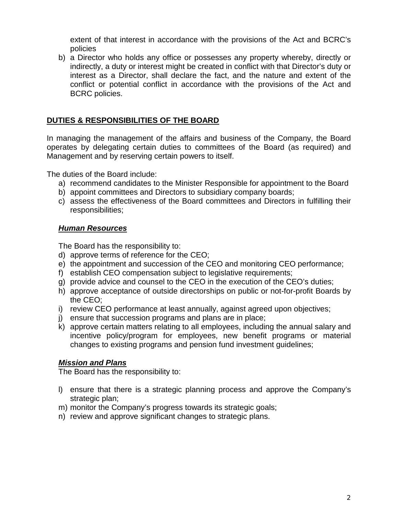extent of that interest in accordance with the provisions of the Act and BCRC's policies

b) a Director who holds any office or possesses any property whereby, directly or indirectly, a duty or interest might be created in conflict with that Director's duty or interest as a Director, shall declare the fact, and the nature and extent of the conflict or potential conflict in accordance with the provisions of the Act and BCRC policies.

# **DUTIES & RESPONSIBILITIES OF THE BOARD**

In managing the management of the affairs and business of the Company, the Board operates by delegating certain duties to committees of the Board (as required) and Management and by reserving certain powers to itself.

The duties of the Board include:

- a) recommend candidates to the Minister Responsible for appointment to the Board
- b) appoint committees and Directors to subsidiary company boards;
- c) assess the effectiveness of the Board committees and Directors in fulfilling their responsibilities;

# *Human Resources*

The Board has the responsibility to:

- d) approve terms of reference for the CEO;
- e) the appointment and succession of the CEO and monitoring CEO performance;
- f) establish CEO compensation subject to legislative requirements;
- g) provide advice and counsel to the CEO in the execution of the CEO's duties;
- h) approve acceptance of outside directorships on public or not-for-profit Boards by the CEO;
- i) review CEO performance at least annually, against agreed upon objectives;
- j) ensure that succession programs and plans are in place;
- k) approve certain matters relating to all employees, including the annual salary and incentive policy/program for employees, new benefit programs or material changes to existing programs and pension fund investment guidelines;

# *Mission and Plans*

The Board has the responsibility to:

- l) ensure that there is a strategic planning process and approve the Company's strategic plan;
- m) monitor the Company's progress towards its strategic goals;
- n) review and approve significant changes to strategic plans.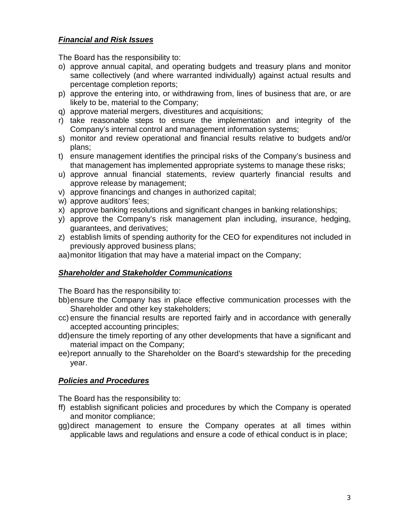# *Financial and Risk Issues*

The Board has the responsibility to:

- o) approve annual capital, and operating budgets and treasury plans and monitor same collectively (and where warranted individually) against actual results and percentage completion reports;
- p) approve the entering into, or withdrawing from, lines of business that are, or are likely to be, material to the Company;
- q) approve material mergers, divestitures and acquisitions;
- r) take reasonable steps to ensure the implementation and integrity of the Company's internal control and management information systems;
- s) monitor and review operational and financial results relative to budgets and/or plans;
- t) ensure management identifies the principal risks of the Company's business and that management has implemented appropriate systems to manage these risks;
- u) approve annual financial statements, review quarterly financial results and approve release by management;
- v) approve financings and changes in authorized capital;
- w) approve auditors' fees;
- x) approve banking resolutions and significant changes in banking relationships;
- y) approve the Company's risk management plan including, insurance, hedging, guarantees, and derivatives;
- z) establish limits of spending authority for the CEO for expenditures not included in previously approved business plans;

aa)monitor litigation that may have a material impact on the Company;

# *Shareholder and Stakeholder Communications*

The Board has the responsibility to:

- bb)ensure the Company has in place effective communication processes with the Shareholder and other key stakeholders;
- cc) ensure the financial results are reported fairly and in accordance with generally accepted accounting principles;
- dd)ensure the timely reporting of any other developments that have a significant and material impact on the Company;
- ee)report annually to the Shareholder on the Board's stewardship for the preceding year.

# *Policies and Procedures*

The Board has the responsibility to:

- ff) establish significant policies and procedures by which the Company is operated and monitor compliance;
- gg)direct management to ensure the Company operates at all times within applicable laws and regulations and ensure a code of ethical conduct is in place;